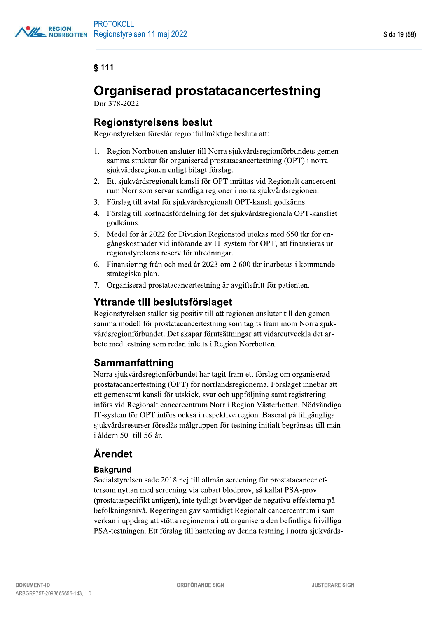# $§$  111

# Organiserad prostatacancertestning

Dnr 378-2022

# Regionstyrelsens beslut

Regionstyrelsen föreslår regionfullmäktige besluta att:

- 1. Region Norrbotten ansluter till Norra sjukvårdsregionförbundets gemensamma struktur för organiserad prostatacancertestning  $(OPT)$  i norra sjukvårdsregionen enligt bilagt förslag.
- 2. Ett sjukvårdsregionalt kansli för OPT inrättas vid Regionalt cancercentrum Norr som servar samtliga regioner i norra sjukvårdsregionen.
- 3. Förslag till avtal för sjukvårdsregionalt OPT-kansli godkänns.
- 4. Förslag till kostnadsfördelning för det sjukvårdsregionala OPT-kansliet godkänns.
- 5. Medel för år 2022 för Division Regionstöd utökas med 650 tkr för engångskostnader vid införande av IT-system för OPT, att finansieras ur regionstyrelsens reserv för utredningar.
- 6. Finansiering från och med år 2023 om 2 600 tkr inarbetas i kommande strategiska plan.
- 7. Organiserad prostatacancertestning är avgiftsfritt för patienten.

# Yttrande till beslutsförslaget

Regionstyrelsen ställer sig positiv till att regionen ansluter till den gemensamma modell för prostatacancertestning som tagits fram inom Norra sjukvårdsregionförbundet. Det skapar förutsättningar att vidareutveckla det arbete med testning som redan inletts i Region Norrbotten.

## **Sammanfattning**

Norra sjukvårdsregionförbundet har tagit fram ett förslag om organiserad prostatacancertestning (OPT) för norrlandsregionerna. Förslaget innebär att ett gemensamt kansli för utskick, svar och uppföljning samt registrering införs vid Regionalt cancercentrum Norr i Region Västerbotten. Nödvändiga  $IT$ -system för OPT införs också i respektive region. Baserat på tillgängliga  $\mathbf{S}$ jukvårdsresurser föreslås målgruppen för testning initialt begränsas till män i åldern 50- till 56-år.

# **Ärendet**

## **Bakgrund**

PSA-testningen. Ett förslag till hantering av denna testning i norra sjukvärds-<br>
DOKUMENT-ID<br>
ARBGRP757-2093665656-143, 1.0<br>
ARBGRP757-2093665656-143, 1.0 Socialstyrelsen sade 2018 nej till allmän screening för prostatacancer eftersom nyttan med screening via enbart blodprov, så kallat PSA-prov  $r$ (prostataspecifikt antigen), inte tydligt överväger de negativa effekterna på befolkningsnivå. Regeringen gav samtidigt Regionalt cancercentrum i samverkan i uppdrag att stötta regionerna i att organisera den befintliga frivilliga PSA-testningen. Ett förslag till hantering av denna testning i norra sjukvårds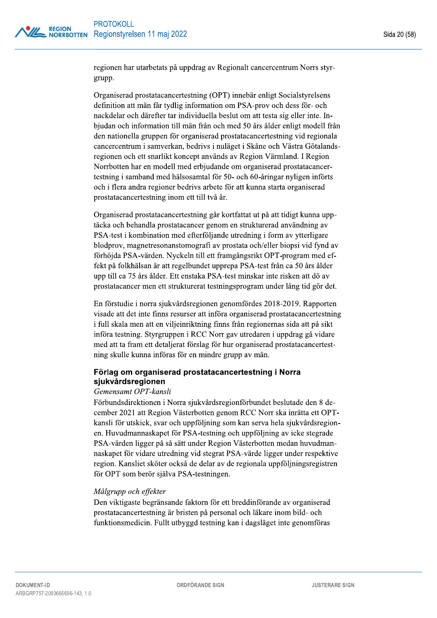regionen har utarbetats på uppdrag av Regionalt cancercentrum Norrs styrgrupp.

Organiserad prostatacancertestning (OPT) innebär enligt Socialstyrelsens definition att män får tydlig information om PSA-prov och dess för- och nackdelar och därefter tar individuella beslut om att testa sig eller inte. Inbjudan och information till män från och med 50 års ålder enligt modell från den nationella gruppen för organiserad prostatacancertestning vid regionala cancercentrum i samverkan, bedrivs i nuläget i Skåne och Västra Götalandsregionen och ett snarlikt koncept används av Region Värmland. I Region Norrbotten har en modell med erbjudande om organiserad prostatacancertestning i samband med hälsosamtal för 50- och 60-åringar nyligen införts och i flera andra regioner bedrivs arbete för att kunna starta organiserad prostatacancertestning inom ett till två år.

Organiserad prostatacancertestning går kortfattat ut på att tidigt kunna upptäcka och behandla prostatacancer genom en strukturerad användning av PSA-test i kombination med efterföljande utredning i form av ytterligare blodprov, magnetresonanstomografi av prostata och/eller biopsi vid fynd av förhöjda PSA-värden. Nyckeln till ett framgångsrikt OPT-program med effekt på folkhälsan är att regelbundet upprepa PSA-test från ca 50 års ålder upp till ca 75 års ålder. Ett enstaka PSA-test minskar inte risken att dö av prostatacancer men ett strukturerat testningsprogram under lång tid gör det.

En förstudie i norra sjukvårdsregionen genomfördes 2018-2019. Rapporten visade att det inte finns resurser att införa organiserad prostatacancertestning i full skala men att en viljeinriktning finns från regionernas sida att på sikt införa testning. Styrgruppen i RCC Norr gav utredaren i uppdrag gå vidare med att ta fram ett detaljerat förslag för hur organiserad prostatacancertestning skulle kunna införas för en mindre grupp av män.

## Förlag om organiserad prostatacancertestning i Norra sjukvårdsregionen

#### Gemensamt OPT-kansli

Förbundsdirektionen i Norra sjukvårdsregionförbundet beslutade den 8 december 2021 att Region Västerbotten genom RCC Norr ska inrätta ett OPTkansli för utskick, svar och uppföljning som kan serva hela sjukvårdsregionen. Huvudmannaskapet för PSA-testning och uppföljning av icke stegrade PSA-värden ligger på så sätt under Region Västerbotten medan huvudmannaskapet för vidare utredning vid stegrat PSA-värde ligger under respektive region. Kansliet sköter också de delar av de regionala uppföljningsregistren för OPT som berör själva PSA-testningen.

#### Målgrupp och effekter

Den viktigaste begränsande faktorn för ett breddinförande av organiserad prostatacancertestning är bristen på personal och läkare inom bild- och funktionsmedicin. Fullt utbyggd testning kan i dagsläget inte genomföras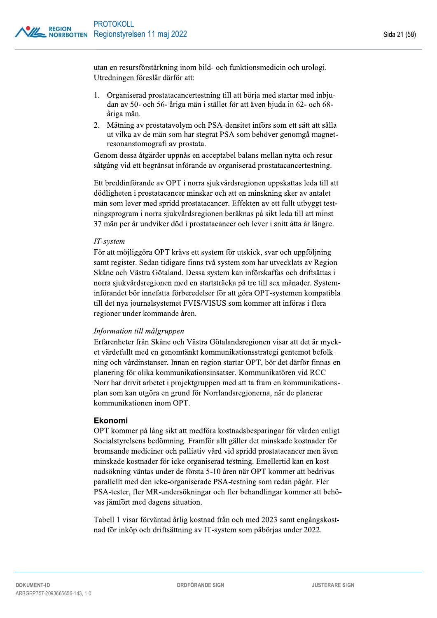utan en resursförstärkning inom bild- och funktionsmedicin och urologi. Utredningen föreslår därför att:

- 1. Organiserad prostatacancertestning till att börja med startar med inbjudan av 50- och 56- åriga män i stället för att även bjuda in 62- och 68åriga män.
- 2. Mätning av prostatavolym och PSA-densitet införs som ett sätt att sålla ut vilka av de män som har stegrat PSA som behöver genomgå magnetresonanstomografi av prostata.

Genom dessa åtgärder uppnås en acceptabel balans mellan nytta och resursåtgång vid ett begränsat införande av organiserad prostatacancertestning.

Ett breddinförande av OPT i norra sjukvårdsregionen uppskattas leda till att dödligheten i prostatacancer minskar och att en minskning sker av antalet män som lever med spridd prostatacancer. Effekten av ett fullt utbyggt testningsprogram i norra sjukvårdsregionen beräknas på sikt leda till att minst 37 män per år undviker död i prostatacancer och lever i snitt åtta år längre.

#### IT-system

För att möjliggöra OPT krävs ett system för utskick, svar och uppföljning samt register. Sedan tidigare finns två system som har utvecklats av Region Skåne och Västra Götaland. Dessa system kan införskaffas och driftsättas i norra sjukvårdsregionen med en startsträcka på tre till sex månader. Systeminförandet bör innefatta förberedelser för att göra OPT-systemen kompatibla till det nya journalsystemet FVIS/VISUS som kommer att införas i flera regioner under kommande åren.

#### Information till målgruppen

Erfarenheter från Skåne och Västra Götalandsregionen visar att det är mycket värdefullt med en genomtänkt kommunikationsstrategi gentemot befolkning och vårdinstanser. Innan en region startar OPT, bör det därför finnas en planering för olika kommunikationsinsatser. Kommunikatören vid RCC Norr har drivit arbetet i projektgruppen med att ta fram en kommunikationsplan som kan utgöra en grund för Norrlandsregionerna, när de planerar kommunikationen inom OPT.

#### Ekonomi

OPT kommer på lång sikt att medföra kostnadsbesparingar för vården enligt Socialstyrelsens bedömning. Framför allt gäller det minskade kostnader för bromsande mediciner och palliativ vård vid spridd prostatacancer men även minskade kostnader för icke organiserad testning. Emellertid kan en kostnadsökning väntas under de första 5-10 åren när OPT kommer att bedrivas parallellt med den icke-organiserade PSA-testning som redan pågår. Fler PSA-tester, fler MR-undersökningar och fler behandlingar kommer att behövas jämfört med dagens situation.

Tabell 1 visar förväntad årlig kostnad från och med 2023 samt engångskostnad för inköp och driftsättning av IT-system som påbörjas under 2022.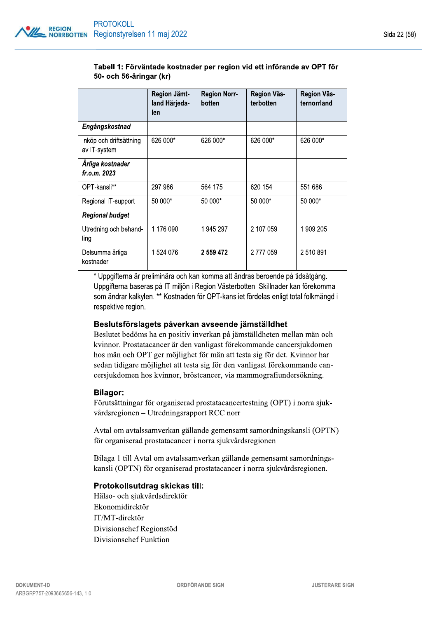#### Tabell 1: Förväntade kostnader per region vid ett införande av OPT för 50- och 56-åringar (kr)

|                                         | Region Jämt-<br>land Härjeda-<br>len | <b>Region Norr-</b><br>botten | <b>Region Väs-</b><br>terbotten | <b>Region Väs-</b><br>ternorrland |
|-----------------------------------------|--------------------------------------|-------------------------------|---------------------------------|-----------------------------------|
| Engångskostnad                          |                                      |                               |                                 |                                   |
| Inköp och driftsättning<br>av IT-system | 626 000*                             | 626 000*                      | 626 000*                        | 626 000*                          |
| Árliga kostnader<br>fr.o.m. 2023        |                                      |                               |                                 |                                   |
| OPT-kansli**                            | 297 986                              | 564 175                       | 620 154                         | 551 686                           |
| Regional IT-support                     | 50 000*                              | 50 000*                       | 50 000*                         | 50 000*                           |
| <b>Regional budget</b>                  |                                      |                               |                                 |                                   |
| Utredning och behand-<br>ling           | 1 176 090                            | 1945297                       | 2 107 059                       | 1909 205                          |
| Delsumma årliga<br>kostnader            | 1524076                              | 2 559 472                     | 2777059                         | 2510891                           |

\* Uppgifterna är preliminära och kan komma att ändras beroende på tidsåtgång. Uppgifterna baseras på IT-miljön i Region Västerbotten. Skillnader kan förekomma som ändrar kalkylen. \*\* Kostnaden för OPT-kansliet fördelas enligt total folkmängd i respektive region.

## Beslutsförslagets påverkan avseende jämställdhet

Beslutet bedöms ha en positiv inverkan på jämställdheten mellan män och kvinnor. Prostatacancer är den vanligast förekommande cancersjukdomen hos män och OPT ger möjlighet för män att testa sig för det. Kvinnor har sedan tidigare möjlighet att testa sig för den vanligast förekommande cancersjukdomen hos kvinnor, bröstcancer, via mammografiundersökning.

## **Bilagor:**

Förutsättningar för organiserad prostatacancertestning (OPT) i norra sjukvårdsregionen – Utredningsrapport RCC norr

Avtal om avtalssamverkan gällande gemensamt samordningskansli (OPTN) för organiserad prostatacancer i norra sjukvårdsregionen

Bilaga 1 till Avtal om avtalssamverkan gällande gemensamt samordningskansli (OPTN) för organiserad prostatacancer i norra sjukvårdsregionen.

#### Protokollsutdrag skickas till:

Hälso- och sjukvårdsdirektör Ekonomidirektör IT/MT-direktör Divisionschef Regionstöd Divisionschef Funktion